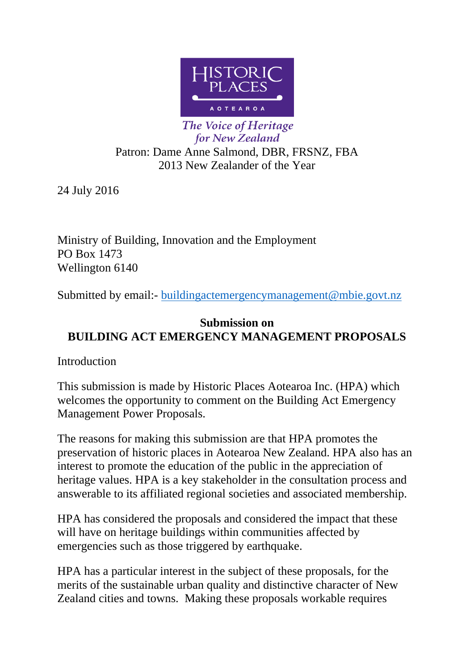

The Voice of Heritage for New Zealand Patron: Dame Anne Salmond, DBR, FRSNZ, FBA 2013 New Zealander of the Year

24 July 2016

Ministry of Building, Innovation and the Employment PO Box 1473 Wellington 6140

Submitted by email:- [buildingactemergencymanagement@mbie.govt.nz](mailto:buildingactemergencymanagement@mbie.govt.nz)

# **Submission on BUILDING ACT EMERGENCY MANAGEMENT PROPOSALS**

Introduction

This submission is made by Historic Places Aotearoa Inc. (HPA) which welcomes the opportunity to comment on the Building Act Emergency Management Power Proposals.

The reasons for making this submission are that HPA promotes the preservation of historic places in Aotearoa New Zealand. HPA also has an interest to promote the education of the public in the appreciation of heritage values. HPA is a key stakeholder in the consultation process and answerable to its affiliated regional societies and associated membership.

HPA has considered the proposals and considered the impact that these will have on heritage buildings within communities affected by emergencies such as those triggered by earthquake.

HPA has a particular interest in the subject of these proposals, for the merits of the sustainable urban quality and distinctive character of New Zealand cities and towns. Making these proposals workable requires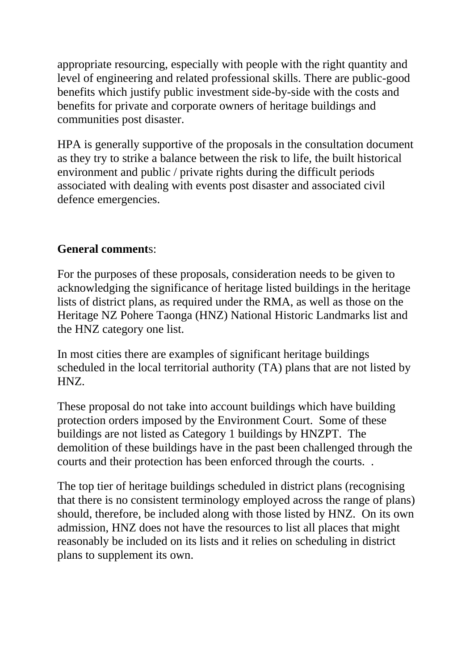appropriate resourcing, especially with people with the right quantity and level of engineering and related professional skills. There are public-good benefits which justify public investment side-by-side with the costs and benefits for private and corporate owners of heritage buildings and communities post disaster.

HPA is generally supportive of the proposals in the consultation document as they try to strike a balance between the risk to life, the built historical environment and public / private rights during the difficult periods associated with dealing with events post disaster and associated civil defence emergencies.

# **General comment**s:

For the purposes of these proposals, consideration needs to be given to acknowledging the significance of heritage listed buildings in the heritage lists of district plans, as required under the RMA, as well as those on the Heritage NZ Pohere Taonga (HNZ) National Historic Landmarks list and the HNZ category one list.

In most cities there are examples of significant heritage buildings scheduled in the local territorial authority (TA) plans that are not listed by HNZ.

These proposal do not take into account buildings which have building protection orders imposed by the Environment Court. Some of these buildings are not listed as Category 1 buildings by HNZPT. The demolition of these buildings have in the past been challenged through the courts and their protection has been enforced through the courts. .

The top tier of heritage buildings scheduled in district plans (recognising that there is no consistent terminology employed across the range of plans) should, therefore, be included along with those listed by HNZ. On its own admission, HNZ does not have the resources to list all places that might reasonably be included on its lists and it relies on scheduling in district plans to supplement its own.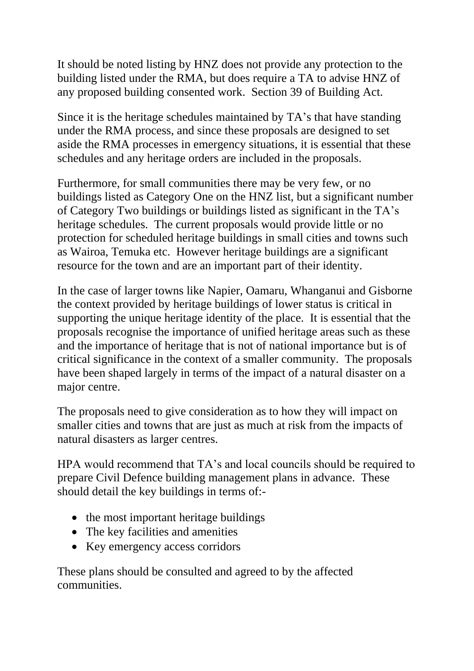It should be noted listing by HNZ does not provide any protection to the building listed under the RMA, but does require a TA to advise HNZ of any proposed building consented work. Section 39 of Building Act.

Since it is the heritage schedules maintained by TA's that have standing under the RMA process, and since these proposals are designed to set aside the RMA processes in emergency situations, it is essential that these schedules and any heritage orders are included in the proposals.

Furthermore, for small communities there may be very few, or no buildings listed as Category One on the HNZ list, but a significant number of Category Two buildings or buildings listed as significant in the TA's heritage schedules. The current proposals would provide little or no protection for scheduled heritage buildings in small cities and towns such as Wairoa, Temuka etc. However heritage buildings are a significant resource for the town and are an important part of their identity.

In the case of larger towns like Napier, Oamaru, Whanganui and Gisborne the context provided by heritage buildings of lower status is critical in supporting the unique heritage identity of the place. It is essential that the proposals recognise the importance of unified heritage areas such as these and the importance of heritage that is not of national importance but is of critical significance in the context of a smaller community. The proposals have been shaped largely in terms of the impact of a natural disaster on a major centre.

The proposals need to give consideration as to how they will impact on smaller cities and towns that are just as much at risk from the impacts of natural disasters as larger centres.

HPA would recommend that TA's and local councils should be required to prepare Civil Defence building management plans in advance. These should detail the key buildings in terms of:-

- the most important heritage buildings
- The key facilities and amenities
- Key emergency access corridors

These plans should be consulted and agreed to by the affected communities.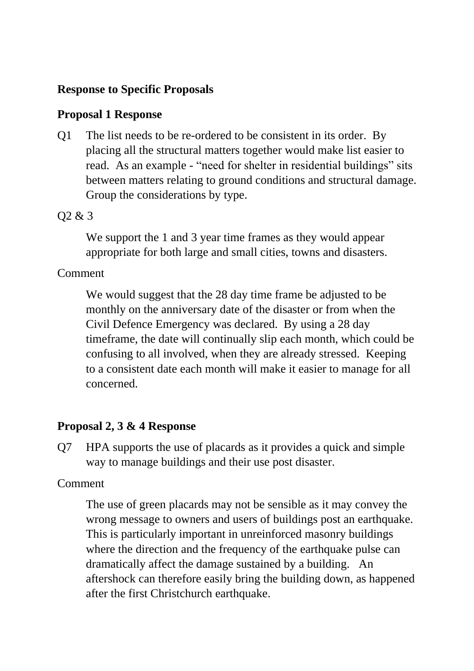# **Response to Specific Proposals**

## **Proposal 1 Response**

Q1 The list needs to be re-ordered to be consistent in its order. By placing all the structural matters together would make list easier to read. As an example - "need for shelter in residential buildings" sits between matters relating to ground conditions and structural damage. Group the considerations by type.

## Q2 & 3

We support the 1 and 3 year time frames as they would appear appropriate for both large and small cities, towns and disasters.

## Comment

We would suggest that the 28 day time frame be adjusted to be monthly on the anniversary date of the disaster or from when the Civil Defence Emergency was declared. By using a 28 day timeframe, the date will continually slip each month, which could be confusing to all involved, when they are already stressed. Keeping to a consistent date each month will make it easier to manage for all concerned.

## **Proposal 2, 3 & 4 Response**

Q7 HPA supports the use of placards as it provides a quick and simple way to manage buildings and their use post disaster.

### Comment

The use of green placards may not be sensible as it may convey the wrong message to owners and users of buildings post an earthquake. This is particularly important in unreinforced masonry buildings where the direction and the frequency of the earthquake pulse can dramatically affect the damage sustained by a building. An aftershock can therefore easily bring the building down, as happened after the first Christchurch earthquake.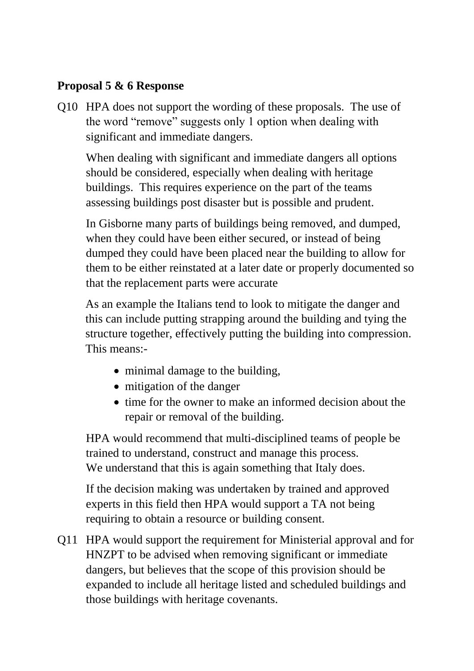# **Proposal 5 & 6 Response**

Q10 HPA does not support the wording of these proposals. The use of the word "remove" suggests only 1 option when dealing with significant and immediate dangers.

When dealing with significant and immediate dangers all options should be considered, especially when dealing with heritage buildings. This requires experience on the part of the teams assessing buildings post disaster but is possible and prudent.

In Gisborne many parts of buildings being removed, and dumped, when they could have been either secured, or instead of being dumped they could have been placed near the building to allow for them to be either reinstated at a later date or properly documented so that the replacement parts were accurate

As an example the Italians tend to look to mitigate the danger and this can include putting strapping around the building and tying the structure together, effectively putting the building into compression. This means:-

- minimal damage to the building,
- mitigation of the danger
- time for the owner to make an informed decision about the repair or removal of the building.

HPA would recommend that multi-disciplined teams of people be trained to understand, construct and manage this process. We understand that this is again something that Italy does.

If the decision making was undertaken by trained and approved experts in this field then HPA would support a TA not being requiring to obtain a resource or building consent.

Q11 HPA would support the requirement for Ministerial approval and for HNZPT to be advised when removing significant or immediate dangers, but believes that the scope of this provision should be expanded to include all heritage listed and scheduled buildings and those buildings with heritage covenants.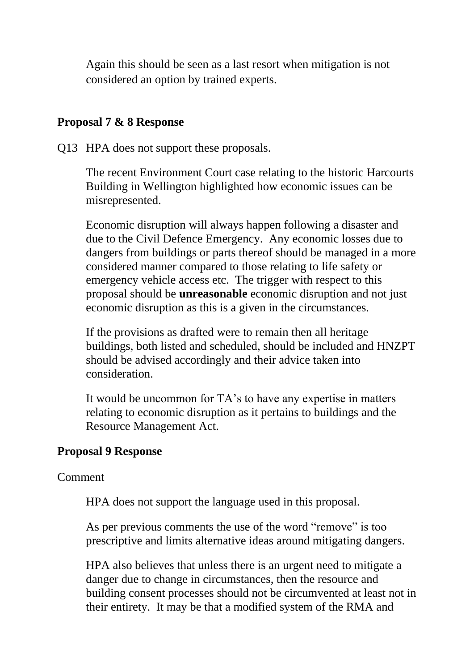Again this should be seen as a last resort when mitigation is not considered an option by trained experts.

## **Proposal 7 & 8 Response**

Q13 HPA does not support these proposals.

The recent Environment Court case relating to the historic Harcourts Building in Wellington highlighted how economic issues can be misrepresented.

Economic disruption will always happen following a disaster and due to the Civil Defence Emergency. Any economic losses due to dangers from buildings or parts thereof should be managed in a more considered manner compared to those relating to life safety or emergency vehicle access etc. The trigger with respect to this proposal should be **unreasonable** economic disruption and not just economic disruption as this is a given in the circumstances.

If the provisions as drafted were to remain then all heritage buildings, both listed and scheduled, should be included and HNZPT should be advised accordingly and their advice taken into consideration.

It would be uncommon for TA's to have any expertise in matters relating to economic disruption as it pertains to buildings and the Resource Management Act.

## **Proposal 9 Response**

Comment

HPA does not support the language used in this proposal.

As per previous comments the use of the word "remove" is too prescriptive and limits alternative ideas around mitigating dangers.

HPA also believes that unless there is an urgent need to mitigate a danger due to change in circumstances, then the resource and building consent processes should not be circumvented at least not in their entirety. It may be that a modified system of the RMA and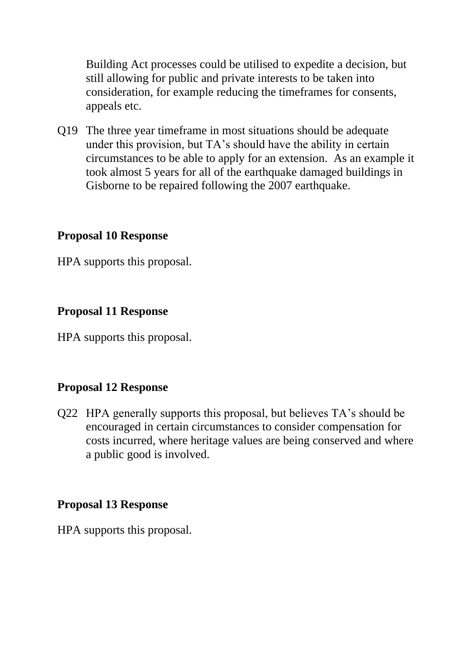Building Act processes could be utilised to expedite a decision, but still allowing for public and private interests to be taken into consideration, for example reducing the timeframes for consents, appeals etc.

Q19 The three year timeframe in most situations should be adequate under this provision, but TA's should have the ability in certain circumstances to be able to apply for an extension. As an example it took almost 5 years for all of the earthquake damaged buildings in Gisborne to be repaired following the 2007 earthquake.

### **Proposal 10 Response**

HPA supports this proposal.

### **Proposal 11 Response**

HPA supports this proposal.

## **Proposal 12 Response**

Q22 HPA generally supports this proposal, but believes TA's should be encouraged in certain circumstances to consider compensation for costs incurred, where heritage values are being conserved and where a public good is involved.

### **Proposal 13 Response**

HPA supports this proposal.